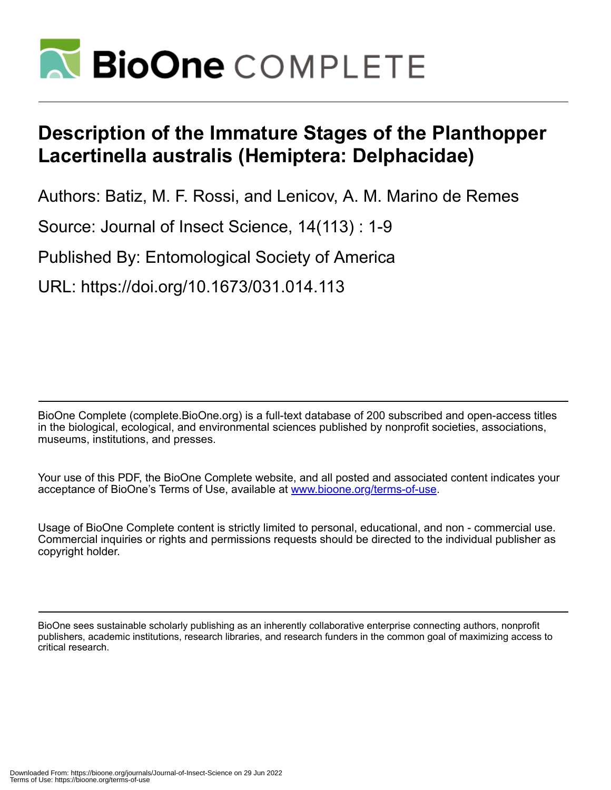

# **Description of the Immature Stages of the Planthopper Lacertinella australis (Hemiptera: Delphacidae)**

Authors: Batiz, M. F. Rossi, and Lenicov, A. M. Marino de Remes

Source: Journal of Insect Science, 14(113) : 1-9

Published By: Entomological Society of America

URL: https://doi.org/10.1673/031.014.113

BioOne Complete (complete.BioOne.org) is a full-text database of 200 subscribed and open-access titles in the biological, ecological, and environmental sciences published by nonprofit societies, associations, museums, institutions, and presses.

Your use of this PDF, the BioOne Complete website, and all posted and associated content indicates your acceptance of BioOne's Terms of Use, available at www.bioone.org/terms-of-use.

Usage of BioOne Complete content is strictly limited to personal, educational, and non - commercial use. Commercial inquiries or rights and permissions requests should be directed to the individual publisher as copyright holder.

BioOne sees sustainable scholarly publishing as an inherently collaborative enterprise connecting authors, nonprofit publishers, academic institutions, research libraries, and research funders in the common goal of maximizing access to critical research.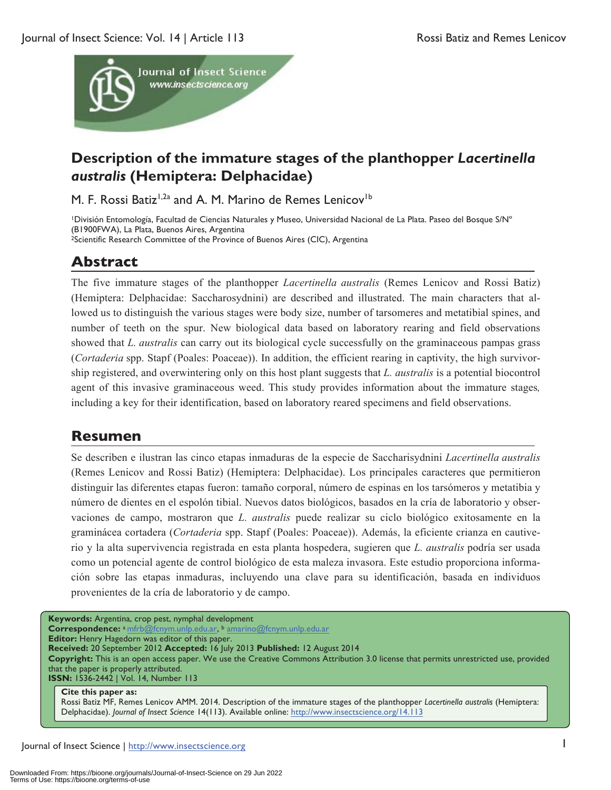

# **Description of the immature stages of the planthopper** *Lacertinella australis* **(Hemiptera: Delphacidae)**

M. F. Rossi Batiz<sup>1,2a</sup> and A. M. Marino de Remes Lenicov<sup>1b</sup>

1División Entomología, Facultad de Ciencias Naturales y Museo, Universidad Nacional de La Plata. Paseo del Bosque S/Nº (B1900FWA), La Plata, Buenos Aires, Argentina 2Scientific Research Committee of the Province of Buenos Aires (CIC), Argentina

# **Abstract**

The five immature stages of the planthopper *Lacertinella australis* (Remes Lenicov and Rossi Batiz) (Hemiptera: Delphacidae: Saccharosydnini) are described and illustrated. The main characters that allowed us to distinguish the various stages were body size, number of tarsomeres and metatibial spines, and number of teeth on the spur. New biological data based on laboratory rearing and field observations showed that *L. australis* can carry out its biological cycle successfully on the graminaceous pampas grass (*Cortaderia* spp. Stapf (Poales: Poaceae)). In addition, the efficient rearing in captivity, the high survivorship registered, and overwintering only on this host plant suggests that *L. australis* is a potential biocontrol agent of this invasive graminaceous weed. This study provides information about the immature stages*,*  including a key for their identification, based on laboratory reared specimens and field observations.

## **Resumen**

Se describen e ilustran las cinco etapas inmaduras de la especie de Saccharisydnini *Lacertinella australis* (Remes Lenicov and Rossi Batiz) (Hemiptera: Delphacidae). Los principales caracteres que permitieron distinguir las diferentes etapas fueron: tamaño corporal, número de espinas en los tarsómeros y metatibia y número de dientes en el espolón tibial. Nuevos datos biológicos, basados en la cría de laboratorio y observaciones de campo, mostraron que *L. australis* puede realizar su ciclo biológico exitosamente en la graminácea cortadera (*Cortaderia* spp. Stapf (Poales: Poaceae)). Además, la eficiente crianza en cautiverio y la alta supervivencia registrada en esta planta hospedera, sugieren que *L. australis* podría ser usada como un potencial agente de control biológico de esta maleza invasora. Este estudio proporciona información sobre las etapas inmaduras, incluyendo una clave para su identificación, basada en individuos provenientes de la cría de laboratorio y de campo.

**Keywords:** Argentina, crop pest, nymphal development **Correspondence:** a mfrb@fcnym.unlp.edu.ar, b amarino@fcnym.unlp.edu.ar **Editor:** Henry Hagedorn was editor of this paper. **Received:** 20 September 2012 **Accepted:** 16 July 2013 **Published:** 12 August 2014 **Copyright:** This is an open access paper. We use the Creative Commons Attribution 3.0 license that permits unrestricted use, provided that the paper is properly attributed. **ISSN:** 1536-2442 | Vol. 14, Number 113 **Cite this paper as:**  Rossi Batiz MF, Remes Lenicov AMM. 2014. Description of the immature stages of the planthopper *Lacertinella australis* (Hemiptera:

Delphacidae). *Journal of Insect Science* 14(113). Available online: http://www.insectscience.org/14.113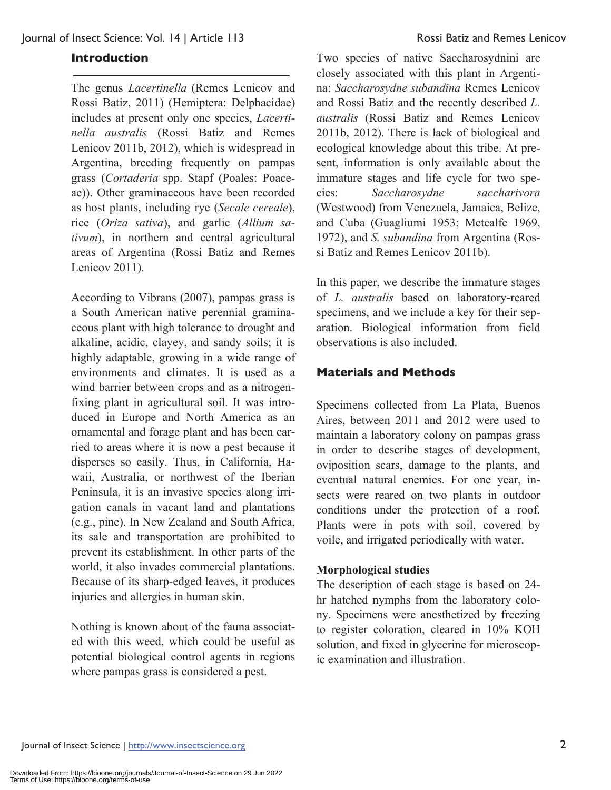#### **Introduction**

The genus *Lacertinella* (Remes Lenicov and Rossi Batiz, 2011) (Hemiptera: Delphacidae) includes at present only one species, *Lacertinella australis* (Rossi Batiz and Remes Lenicov 2011b, 2012), which is widespread in Argentina, breeding frequently on pampas grass (*Cortaderia* spp. Stapf (Poales: Poaceae)). Other graminaceous have been recorded as host plants, including rye (*Secale cereale*), rice (*Oriza sativa*), and garlic (*Allium sativum*), in northern and central agricultural areas of Argentina (Rossi Batiz and Remes Lenicov 2011).

According to Vibrans (2007), pampas grass is a South American native perennial graminaceous plant with high tolerance to drought and alkaline, acidic, clayey, and sandy soils; it is highly adaptable, growing in a wide range of environments and climates. It is used as a wind barrier between crops and as a nitrogenfixing plant in agricultural soil. It was introduced in Europe and North America as an ornamental and forage plant and has been carried to areas where it is now a pest because it disperses so easily. Thus, in California, Hawaii, Australia, or northwest of the Iberian Peninsula, it is an invasive species along irrigation canals in vacant land and plantations (e.g., pine). In New Zealand and South Africa, its sale and transportation are prohibited to prevent its establishment. In other parts of the world, it also invades commercial plantations. Because of its sharp-edged leaves, it produces injuries and allergies in human skin.

Nothing is known about of the fauna associated with this weed, which could be useful as potential biological control agents in regions where pampas grass is considered a pest.

Two species of native Saccharosydnini are closely associated with this plant in Argentina: *Saccharosydne subandina* Remes Lenicov and Rossi Batiz and the recently described *L. australis* (Rossi Batiz and Remes Lenicov 2011b, 2012). There is lack of biological and ecological knowledge about this tribe. At present, information is only available about the immature stages and life cycle for two species: *Saccharosydne saccharivora* (Westwood) from Venezuela, Jamaica, Belize, and Cuba (Guagliumi 1953; Metcalfe 1969, 1972), and *S. subandina* from Argentina (Rossi Batiz and Remes Lenicov 2011b).

In this paper, we describe the immature stages of *L. australis* based on laboratory-reared specimens, and we include a key for their separation. Biological information from field observations is also included.

### **Materials and Methods**

Specimens collected from La Plata, Buenos Aires, between 2011 and 2012 were used to maintain a laboratory colony on pampas grass in order to describe stages of development, oviposition scars, damage to the plants, and eventual natural enemies. For one year, insects were reared on two plants in outdoor conditions under the protection of a roof. Plants were in pots with soil, covered by voile, and irrigated periodically with water.

#### **Morphological studies**

The description of each stage is based on 24 hr hatched nymphs from the laboratory colony. Specimens were anesthetized by freezing to register coloration, cleared in 10% KOH solution, and fixed in glycerine for microscopic examination and illustration.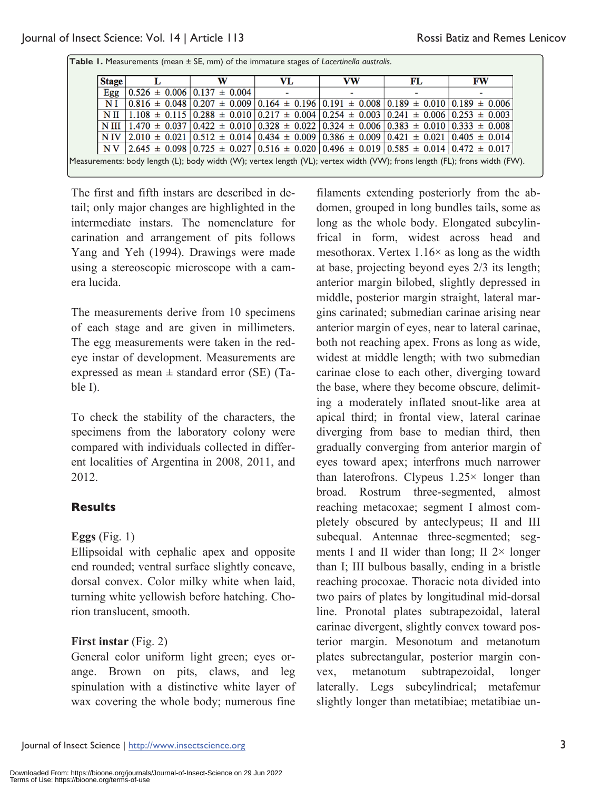| <b>Stage</b> | w                                                                                                                                                              | VL | vw | FL | <b>FW</b> |
|--------------|----------------------------------------------------------------------------------------------------------------------------------------------------------------|----|----|----|-----------|
| Egg          | $0.526 \pm 0.006$ $0.137 \pm 0.004$                                                                                                                            |    |    |    |           |
| NI           | $0.816 \pm 0.048$ $0.207 \pm 0.009$ $0.164 \pm 0.196$ $0.191 \pm 0.008$ $0.189 \pm 0.010$ $0.189 \pm 0.006$                                                    |    |    |    |           |
|              | N II   1.108 $\pm$ 0.115   0.288 $\pm$ 0.010   0.217 $\pm$ 0.004   0.254 $\pm$ 0.003   0.241 $\pm$ 0.006   0.253 $\pm$ 0.003                                   |    |    |    |           |
|              | N III $\left[ 1.470 \pm 0.037 \right] 0.422 \pm 0.010 \left[ 0.328 \pm 0.022 \right] 0.324 \pm 0.006 \left[ 0.383 \pm 0.010 \right] 0.333 \pm 0.008$           |    |    |    |           |
|              | N IV $\vert 2.010 \pm 0.021 \vert 0.512 \pm 0.014 \vert 0.434 \pm 0.009 \vert 0.386 \pm 0.009 \vert 0.421 \pm 0.021 \vert 0.405 \pm 0.014 \vert$               |    |    |    |           |
|              | NV $\vert$ 2.645 $\pm$ 0.098 $\vert$ 0.725 $\pm$ 0.027 $\vert$ 0.516 $\pm$ 0.020 $\vert$ 0.496 $\pm$ 0.019 $\vert$ 0.585 $\pm$ 0.014 $\vert$ 0.472 $\pm$ 0.017 |    |    |    |           |

**Table 1.** Measurements (mean ± SE, mm) of the immature stages of *Lacertinella australis*.

The first and fifth instars are described in detail; only major changes are highlighted in the intermediate instars. The nomenclature for carination and arrangement of pits follows Yang and Yeh (1994). Drawings were made using a stereoscopic microscope with a camera lucida.

The measurements derive from 10 specimens of each stage and are given in millimeters. The egg measurements were taken in the redeye instar of development. Measurements are expressed as mean  $\pm$  standard error (SE) (Table I).

To check the stability of the characters, the specimens from the laboratory colony were compared with individuals collected in different localities of Argentina in 2008, 2011, and 2012.

## **Results**

## **Eggs** (Fig. 1)

Ellipsoidal with cephalic apex and opposite end rounded; ventral surface slightly concave, dorsal convex. Color milky white when laid, turning white yellowish before hatching. Chorion translucent, smooth.

## **First instar** (Fig. 2)

General color uniform light green; eyes orange. Brown on pits, claws, and leg spinulation with a distinctive white layer of wax covering the whole body; numerous fine

filaments extending posteriorly from the abdomen, grouped in long bundles tails, some as long as the whole body. Elongated subcylinfrical in form, widest across head and mesothorax. Vertex  $1.16\times$  as long as the width at base, projecting beyond eyes 2/3 its length; anterior margin bilobed, slightly depressed in middle, posterior margin straight, lateral margins carinated; submedian carinae arising near anterior margin of eyes, near to lateral carinae, both not reaching apex. Frons as long as wide, widest at middle length; with two submedian carinae close to each other, diverging toward the base, where they become obscure, delimiting a moderately inflated snout-like area at apical third; in frontal view, lateral carinae diverging from base to median third, then gradually converging from anterior margin of eyes toward apex; interfrons much narrower than laterofrons. Clypeus  $1.25 \times$  longer than broad. Rostrum three-segmented, almost reaching metacoxae; segment I almost completely obscured by anteclypeus; II and III subequal. Antennae three-segmented; segments I and II wider than long; II  $2 \times$  longer than I; III bulbous basally, ending in a bristle reaching procoxae. Thoracic nota divided into two pairs of plates by longitudinal mid-dorsal line. Pronotal plates subtrapezoidal, lateral carinae divergent, slightly convex toward posterior margin. Mesonotum and metanotum plates subrectangular, posterior margin convex, metanotum subtrapezoidal, longer laterally. Legs subcylindrical; metafemur slightly longer than metatibiae; metatibiae un-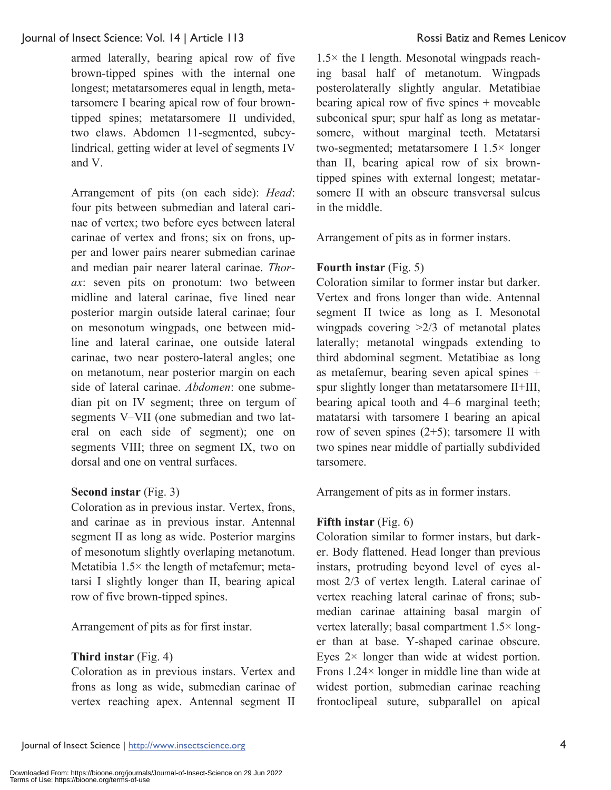armed laterally, bearing apical row of five brown-tipped spines with the internal one longest; metatarsomeres equal in length, metatarsomere I bearing apical row of four browntipped spines; metatarsomere II undivided, two claws. Abdomen 11-segmented, subcylindrical, getting wider at level of segments IV and V.

Arrangement of pits (on each side): *Head*: four pits between submedian and lateral carinae of vertex; two before eyes between lateral carinae of vertex and frons; six on frons, upper and lower pairs nearer submedian carinae and median pair nearer lateral carinae. *Thorax*: seven pits on pronotum: two between midline and lateral carinae, five lined near posterior margin outside lateral carinae; four on mesonotum wingpads, one between midline and lateral carinae, one outside lateral carinae, two near postero-lateral angles; one on metanotum, near posterior margin on each side of lateral carinae. *Abdomen*: one submedian pit on IV segment; three on tergum of segments V-VII (one submedian and two lateral on each side of segment); one on segments VIII; three on segment IX, two on dorsal and one on ventral surfaces.

## **Second instar** (Fig. 3)

Coloration as in previous instar. Vertex, frons, and carinae as in previous instar. Antennal segment II as long as wide. Posterior margins of mesonotum slightly overlaping metanotum. Metatibia 1.5× the length of metafemur; metatarsi I slightly longer than II, bearing apical row of five brown-tipped spines.

Arrangement of pits as for first instar.

## **Third instar** (Fig. 4)

Coloration as in previous instars. Vertex and frons as long as wide, submedian carinae of vertex reaching apex. Antennal segment II

 $1.5\times$  the I length. Mesonotal wingpads reaching basal half of metanotum. Wingpads posterolaterally slightly angular. Metatibiae bearing apical row of five spines + moveable subconical spur; spur half as long as metatarsomere, without marginal teeth. Metatarsi two-segmented; metatarsomere I 1.5× longer than II, bearing apical row of six browntipped spines with external longest; metatarsomere II with an obscure transversal sulcus in the middle.

Arrangement of pits as in former instars.

## **Fourth instar** (Fig. 5)

Coloration similar to former instar but darker. Vertex and frons longer than wide. Antennal segment II twice as long as I. Mesonotal wingpads covering >2/3 of metanotal plates laterally; metanotal wingpads extending to third abdominal segment. Metatibiae as long as metafemur, bearing seven apical spines + spur slightly longer than metatarsomere II+III, bearing apical tooth and 4–6 marginal teeth; matatarsi with tarsomere I bearing an apical row of seven spines (2+5); tarsomere II with two spines near middle of partially subdivided tarsomere.

Arrangement of pits as in former instars.

## **Fifth instar** (Fig. 6)

Coloration similar to former instars, but darker. Body flattened. Head longer than previous instars, protruding beyond level of eyes almost 2/3 of vertex length. Lateral carinae of vertex reaching lateral carinae of frons; submedian carinae attaining basal margin of vertex laterally; basal compartment 1.5× longer than at base. Y-shaped carinae obscure. Eyes  $2 \times$  longer than wide at widest portion. Frons 1.24× longer in middle line than wide at widest portion, submedian carinae reaching frontoclipeal suture, subparallel on apical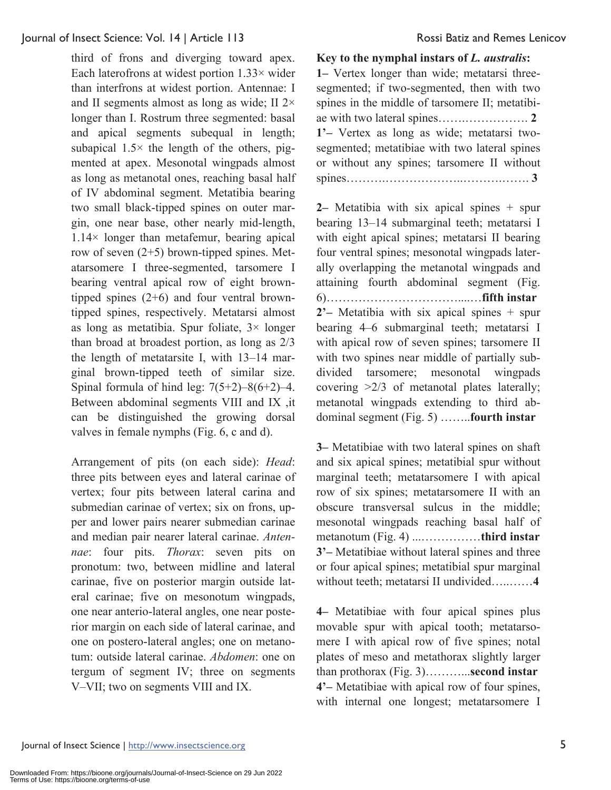third of frons and diverging toward apex. Each laterofrons at widest portion  $1.33\times$  wider than interfrons at widest portion. Antennae: I and II segments almost as long as wide; II 2× longer than I. Rostrum three segmented: basal and apical segments subequal in length; subapical  $1.5\times$  the length of the others, pigmented at apex. Mesonotal wingpads almost as long as metanotal ones, reaching basal half of IV abdominal segment. Metatibia bearing two small black-tipped spines on outer margin, one near base, other nearly mid-length, 1.14× longer than metafemur, bearing apical row of seven (2+5) brown-tipped spines. Metatarsomere I three-segmented, tarsomere I bearing ventral apical row of eight browntipped spines (2+6) and four ventral browntipped spines, respectively. Metatarsi almost as long as metatibia. Spur foliate,  $3 \times$  longer than broad at broadest portion, as long as 2/3 the length of metatarsite I, with  $13-14$  marginal brown-tipped teeth of similar size. Spinal formula of hind leg:  $7(5+2)-8(6+2)-4$ . Between abdominal segments VIII and IX ,it can be distinguished the growing dorsal valves in female nymphs (Fig. 6, c and d).

Arrangement of pits (on each side): *Head*: three pits between eyes and lateral carinae of vertex; four pits between lateral carina and submedian carinae of vertex; six on frons, upper and lower pairs nearer submedian carinae and median pair nearer lateral carinae. *Antennae*: four pits. *Thorax*: seven pits on pronotum: two, between midline and lateral carinae, five on posterior margin outside lateral carinae; five on mesonotum wingpads, one near anterio-lateral angles, one near posterior margin on each side of lateral carinae, and one on postero-lateral angles; one on metanotum: outside lateral carinae. *Abdomen*: one on tergum of segment IV; three on segments V-VII; two on segments VIII and IX.

### **Key to the nymphal instars of** *L. australis***:**

**1‒** Vertex longer than wide; metatarsi threesegmented; if two-segmented, then with two spines in the middle of tarsomere II; metatibiae with two lateral spines…….……………. **2 1'‒** Vertex as long as wide; metatarsi twosegmented; metatibiae with two lateral spines or without any spines; tarsomere II without spines……….………………..……….……. **3** 

**2‒** Metatibia with six apical spines + spur bearing 13–14 submarginal teeth; metatarsi I with eight apical spines; metatarsi II bearing four ventral spines; mesonotal wingpads laterally overlapping the metanotal wingpads and attaining fourth abdominal segment (Fig. 6)……………………………....…**fifth instar 2'‒** Metatibia with six apical spines + spur bearing 4‒6 submarginal teeth; metatarsi I with apical row of seven spines; tarsomere II with two spines near middle of partially subdivided tarsomere; mesonotal wingpads covering >2/3 of metanotal plates laterally; metanotal wingpads extending to third abdominal segment (Fig. 5) ……..**fourth instar** 

**3‒** Metatibiae with two lateral spines on shaft and six apical spines; metatibial spur without marginal teeth; metatarsomere I with apical row of six spines; metatarsomere II with an obscure transversal sulcus in the middle; mesonotal wingpads reaching basal half of metanotum (Fig. 4) ...……………**third instar 3'‒** Metatibiae without lateral spines and three or four apical spines; metatibial spur marginal without teeth; metatarsi II undivided…..……**4** 

**4‒** Metatibiae with four apical spines plus movable spur with apical tooth; metatarsomere I with apical row of five spines; notal plates of meso and metathorax slightly larger than prothorax (Fig. 3)………...**second instar 4'‒** Metatibiae with apical row of four spines, with internal one longest; metatarsomere I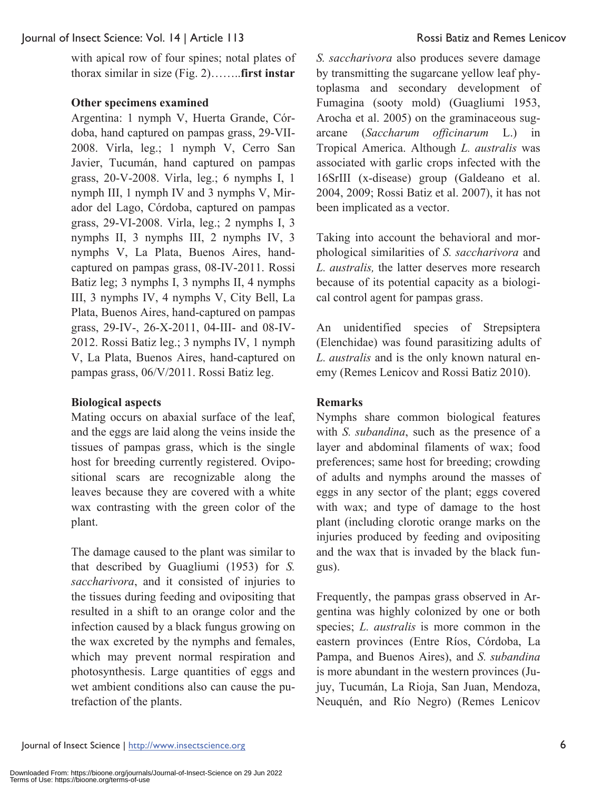with apical row of four spines; notal plates of thorax similar in size (Fig. 2)……..**first instar** 

## **Other specimens examined**

Argentina: 1 nymph V, Huerta Grande, Córdoba, hand captured on pampas grass, 29-VII-2008. Virla, leg.; 1 nymph V, Cerro San Javier, Tucumán, hand captured on pampas grass, 20-V-2008. Virla, leg.; 6 nymphs I, 1 nymph III, 1 nymph IV and 3 nymphs V, Mirador del Lago, Córdoba, captured on pampas grass, 29-VI-2008. Virla, leg.; 2 nymphs I, 3 nymphs II, 3 nymphs III, 2 nymphs IV, 3 nymphs V, La Plata, Buenos Aires, handcaptured on pampas grass, 08-IV-2011. Rossi Batiz leg; 3 nymphs I, 3 nymphs II, 4 nymphs III, 3 nymphs IV, 4 nymphs V, City Bell, La Plata, Buenos Aires, hand-captured on pampas grass, 29-IV-, 26-X-2011, 04-III- and 08-IV-2012. Rossi Batiz leg.; 3 nymphs IV, 1 nymph V, La Plata, Buenos Aires, hand-captured on pampas grass, 06/V/2011. Rossi Batiz leg.

## **Biological aspects**

Mating occurs on abaxial surface of the leaf, and the eggs are laid along the veins inside the tissues of pampas grass, which is the single host for breeding currently registered. Ovipositional scars are recognizable along the leaves because they are covered with a white wax contrasting with the green color of the plant.

The damage caused to the plant was similar to that described by Guagliumi (1953) for *S. saccharivora*, and it consisted of injuries to the tissues during feeding and ovipositing that resulted in a shift to an orange color and the infection caused by a black fungus growing on the wax excreted by the nymphs and females, which may prevent normal respiration and photosynthesis. Large quantities of eggs and wet ambient conditions also can cause the putrefaction of the plants.

*S. saccharivora* also produces severe damage by transmitting the sugarcane yellow leaf phytoplasma and secondary development of Fumagina (sooty mold) (Guagliumi 1953, Arocha et al. 2005) on the graminaceous sugarcane (*Saccharum officinarum* L.) in Tropical America. Although *L. australis* was associated with garlic crops infected with the 16SrIII (x-disease) group (Galdeano et al. 2004, 2009; Rossi Batiz et al. 2007), it has not been implicated as a vector.

Taking into account the behavioral and morphological similarities of *S. saccharivora* and *L. australis,* the latter deserves more research because of its potential capacity as a biological control agent for pampas grass.

An unidentified species of Strepsiptera (Elenchidae) was found parasitizing adults of *L. australis* and is the only known natural enemy (Remes Lenicov and Rossi Batiz 2010).

## **Remarks**

Nymphs share common biological features with *S. subandina*, such as the presence of a layer and abdominal filaments of wax; food preferences; same host for breeding; crowding of adults and nymphs around the masses of eggs in any sector of the plant; eggs covered with wax; and type of damage to the host plant (including clorotic orange marks on the injuries produced by feeding and ovipositing and the wax that is invaded by the black fungus).

Frequently, the pampas grass observed in Argentina was highly colonized by one or both species; *L. australis* is more common in the eastern provinces (Entre Ríos, Córdoba, La Pampa, and Buenos Aires), and *S. subandina* is more abundant in the western provinces (Jujuy, Tucumán, La Rioja, San Juan, Mendoza, Neuquén, and Río Negro) (Remes Lenicov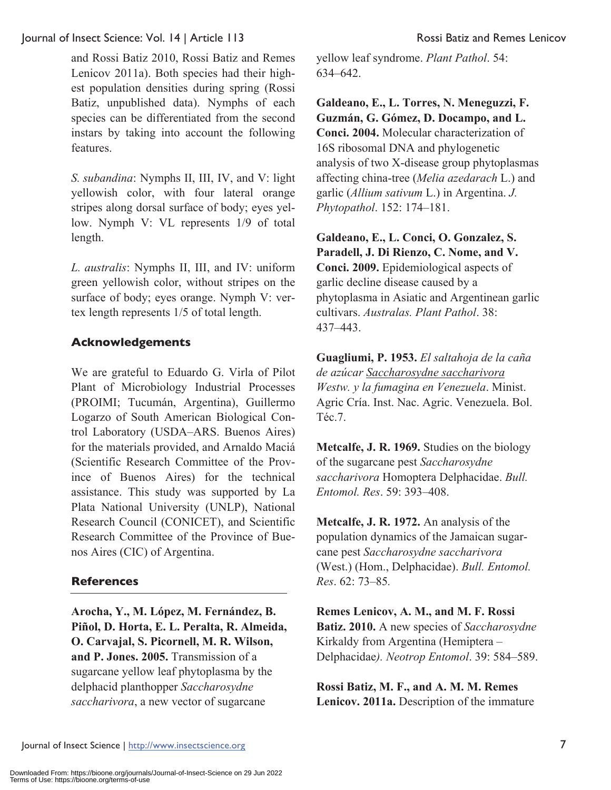and Rossi Batiz 2010, Rossi Batiz and Remes Lenicov 2011a). Both species had their highest population densities during spring (Rossi Batiz, unpublished data). Nymphs of each species can be differentiated from the second instars by taking into account the following features.

*S. subandina*: Nymphs II, III, IV, and V: light yellowish color, with four lateral orange stripes along dorsal surface of body; eyes yellow. Nymph V: VL represents 1/9 of total length.

*L. australis*: Nymphs II, III, and IV: uniform green yellowish color, without stripes on the surface of body; eyes orange. Nymph V: vertex length represents 1/5 of total length.

## **Acknowledgements**

We are grateful to Eduardo G. Virla of Pilot Plant of Microbiology Industrial Processes (PROIMI; Tucumán, Argentina), Guillermo Logarzo of South American Biological Control Laboratory (USDA‒ARS. Buenos Aires) for the materials provided, and Arnaldo Maciá (Scientific Research Committee of the Province of Buenos Aires) for the technical assistance. This study was supported by La Plata National University (UNLP), National Research Council (CONICET), and Scientific Research Committee of the Province of Buenos Aires (CIC) of Argentina.

## **References**

**Arocha, Y., M. López, M. Fernández, B. Piñol, D. Horta, E. L. Peralta, R. Almeida, O. Carvajal, S. Picornell, M. R. Wilson, and P. Jones. 2005.** Transmission of a sugarcane yellow leaf phytoplasma by the delphacid planthopper *Saccharosydne saccharivora*, a new vector of sugarcane

yellow leaf syndrome. *Plant Pathol*. 54: 634‒642.

**Galdeano, E., L. Torres, N. Meneguzzi, F. Guzmán, G. Gómez, D. Docampo, and L. Conci. 2004.** Molecular characterization of 16S ribosomal DNA and phylogenetic analysis of two X-disease group phytoplasmas affecting china-tree (*Melia azedarach* L.) and garlic (*Allium sativum* L.) in Argentina. *J. Phytopathol*. 152: 174‒181.

**Galdeano, E., L. Conci, O. Gonzalez, S. Paradell, J. Di Rienzo, C. Nome, and V. Conci. 2009.** Epidemiological aspects of garlic decline disease caused by a phytoplasma in Asiatic and Argentinean garlic cultivars. *Australas. Plant Pathol*. 38: 437‒443.

**Guagliumi, P. 1953.** *El saltahoja de la caña de azúcar Saccharosydne saccharivora Westw. y la fumagina en Venezuela*. Minist. Agric Cría. Inst. Nac. Agric. Venezuela. Bol. Téc.7.

**Metcalfe, J. R. 1969.** Studies on the biology of the sugarcane pest *Saccharosydne saccharivora* Homoptera Delphacidae. *Bull. Entomol. Res*. 59: 393–408.

**Metcalfe, J. R. 1972.** An analysis of the population dynamics of the Jamaican sugarcane pest *Saccharosydne saccharivora* (West.) (Hom., Delphacidae). *Bull. Entomol. Res*. 62: 73–85*.* 

**Remes Lenicov, A. M., and M. F. Rossi Batiz. 2010.** A new species of *Saccharosydne* Kirkaldy from Argentina (Hemiptera – Delphacidae*). Neotrop Entomol*. 39: 584–589.

**Rossi Batiz, M. F., and A. M. M. Remes Lenicov. 2011a.** Description of the immature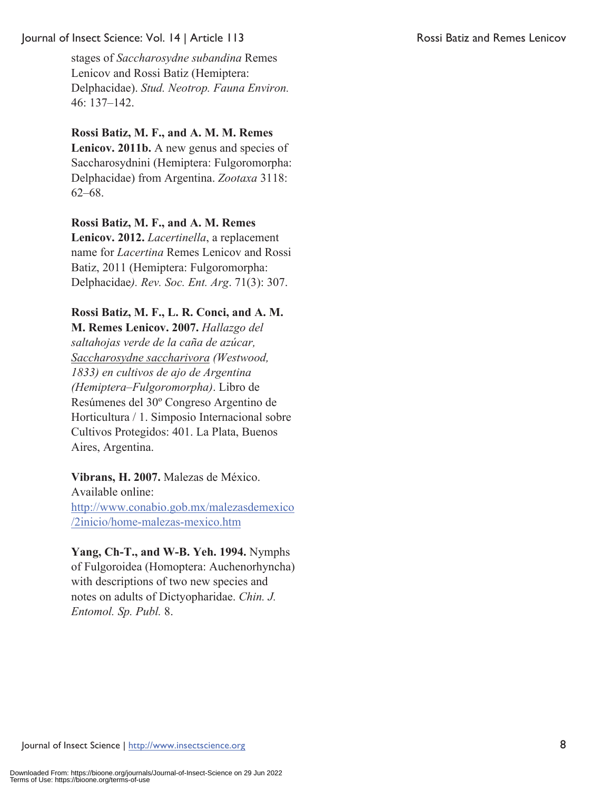stages of *Saccharosydne subandina* Remes Lenicov and Rossi Batiz (Hemiptera: Delphacidae). *Stud. Neotrop. Fauna Environ.* 46: 137‒142.

## **Rossi Batiz, M. F., and A. M. M. Remes**

**Lenicov. 2011b.** A new genus and species of Saccharosydnini (Hemiptera: Fulgoromorpha: Delphacidae) from Argentina. *Zootaxa* 3118:  $62 - 68.$ 

## **Rossi Batiz, M. F., and A. M. Remes**

**Lenicov. 2012.** *Lacertinella*, a replacement name for *Lacertina* Remes Lenicov and Rossi Batiz, 2011 (Hemiptera: Fulgoromorpha: Delphacidae*). Rev. Soc. Ent. Arg*. 71(3): 307.

## **Rossi Batiz, M. F., L. R. Conci, and A. M.**

**M. Remes Lenicov. 2007.** *Hallazgo del saltahojas verde de la caña de azúcar, Saccharosydne saccharivora (Westwood, 1833) en cultivos de ajo de Argentina (Hemiptera–Fulgoromorpha)*. Libro de Resúmenes del 30º Congreso Argentino de Horticultura / 1. Simposio Internacional sobre Cultivos Protegidos: 401. La Plata, Buenos Aires, Argentina.

**Vibrans, H. 2007.** Malezas de México. Available online: http://www.conabio.gob.mx/malezasdemexico /2inicio/home-malezas-mexico.htm

**Yang, Ch-T., and W-B. Yeh. 1994.** Nymphs of Fulgoroidea (Homoptera: Auchenorhyncha) with descriptions of two new species and notes on adults of Dictyopharidae. *Chin. J. Entomol. Sp. Publ.* 8.